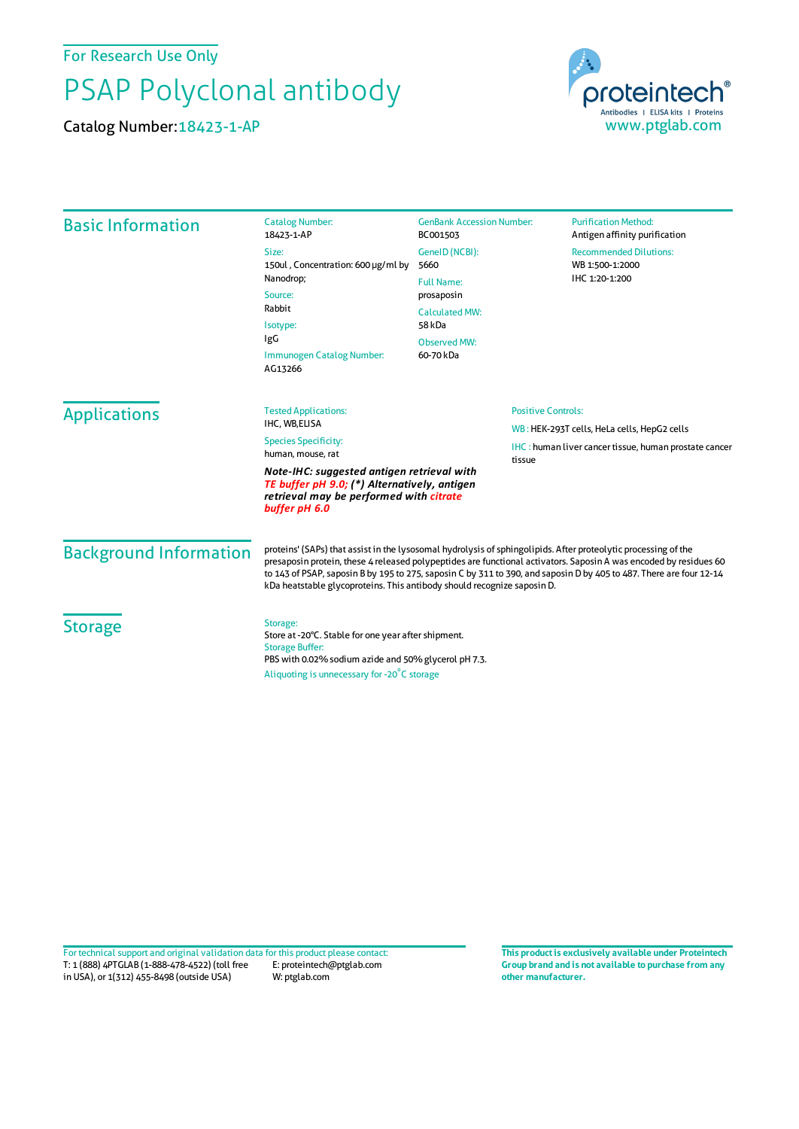For Research Use Only

## PSAP Polyclonal antibody

Catalog Number:18423-1-AP



| <b>Basic Information</b>                                                                                                                               | <b>Catalog Number:</b><br>18423-1-AP                                                                                                                                                                                                                                                                                                                                                                                                  | <b>GenBank Accession Number:</b><br>BC001503                                                 | <b>Purification Method:</b><br>Antigen affinity purification            |
|--------------------------------------------------------------------------------------------------------------------------------------------------------|---------------------------------------------------------------------------------------------------------------------------------------------------------------------------------------------------------------------------------------------------------------------------------------------------------------------------------------------------------------------------------------------------------------------------------------|----------------------------------------------------------------------------------------------|-------------------------------------------------------------------------|
|                                                                                                                                                        | Size:<br>150ul, Concentration: 600 µg/ml by<br>Nanodrop;<br>Source:<br>Rabbit<br>Isotype:<br>IgG<br>Immunogen Catalog Number:<br>AG13266                                                                                                                                                                                                                                                                                              | GenelD (NCBI):<br>5660<br><b>Full Name:</b><br>prosaposin<br><b>Calculated MW:</b><br>58 kDa | <b>Recommended Dilutions:</b><br>WB 1:500-1:2000<br>IHC 1:20-1:200      |
|                                                                                                                                                        |                                                                                                                                                                                                                                                                                                                                                                                                                                       |                                                                                              |                                                                         |
|                                                                                                                                                        |                                                                                                                                                                                                                                                                                                                                                                                                                                       | <b>Applications</b>                                                                          |                                                                         |
| <b>Species Specificity:</b><br>human, mouse, rat                                                                                                       |                                                                                                                                                                                                                                                                                                                                                                                                                                       |                                                                                              | <b>IHC</b> : human liver cancer tissue, human prostate cancer<br>tissue |
| Note-IHC: suggested antigen retrieval with<br>TE buffer pH 9.0; (*) Alternatively, antigen<br>retrieval may be performed with citrate<br>buffer pH 6.0 |                                                                                                                                                                                                                                                                                                                                                                                                                                       |                                                                                              |                                                                         |
| <b>Background Information</b>                                                                                                                          | proteins' (SAPs) that assist in the lysosomal hydrolysis of sphingolipids. After proteolytic processing of the<br>presaposin protein, these 4 released polypeptides are functional activators. Saposin A was encoded by residues 60<br>to 143 of PSAP, saposin B by 195 to 275, saposin C by 311 to 390, and saposin D by 405 to 487. There are four 12-14<br>kDa heatstable glycoproteins. This antibody should recognize saposin D. |                                                                                              |                                                                         |
| <b>Storage</b>                                                                                                                                         | Storage:<br>Store at -20°C. Stable for one year after shipment.<br><b>Storage Buffer:</b><br>PBS with 0.02% sodium azide and 50% glycerol pH 7.3.<br>Aliquoting is unnecessary for -20°C storage                                                                                                                                                                                                                                      |                                                                                              |                                                                         |

T: 1 (888) 4PTGLAB (1-888-478-4522) (toll free in USA), or 1(312) 455-8498 (outside USA) E: proteintech@ptglab.com W: ptglab.com Fortechnical support and original validation data forthis product please contact: **This productis exclusively available under Proteintech**

**Group brand and is not available to purchase from any other manufacturer.**